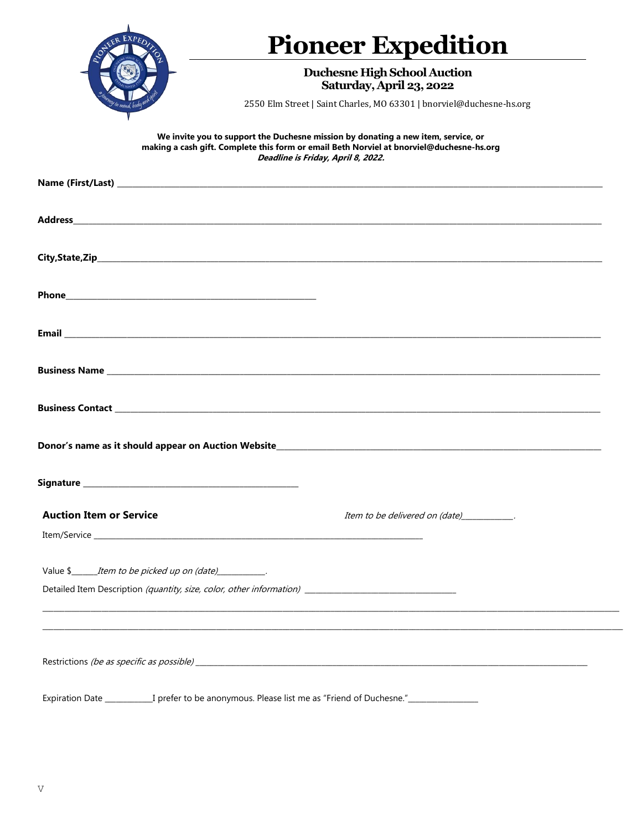|                                                                                                               | <b>Pioneer Expedition</b>                                                                                                                                                                                           |
|---------------------------------------------------------------------------------------------------------------|---------------------------------------------------------------------------------------------------------------------------------------------------------------------------------------------------------------------|
|                                                                                                               | <b>Duchesne High School Auction</b><br>Saturday, April 23, 2022                                                                                                                                                     |
|                                                                                                               | 2550 Elm Street   Saint Charles, MO 63301   bnorviel@duchesne-hs.org                                                                                                                                                |
|                                                                                                               | We invite you to support the Duchesne mission by donating a new item, service, or<br>making a cash gift. Complete this form or email Beth Norviel at bnorviel@duchesne-hs.org<br>Deadline is Friday, April 8, 2022. |
|                                                                                                               |                                                                                                                                                                                                                     |
|                                                                                                               |                                                                                                                                                                                                                     |
|                                                                                                               |                                                                                                                                                                                                                     |
|                                                                                                               |                                                                                                                                                                                                                     |
|                                                                                                               |                                                                                                                                                                                                                     |
|                                                                                                               |                                                                                                                                                                                                                     |
|                                                                                                               |                                                                                                                                                                                                                     |
|                                                                                                               |                                                                                                                                                                                                                     |
|                                                                                                               |                                                                                                                                                                                                                     |
| <b>Auction Item or Service</b>                                                                                | Item to be delivered on (date)____________.                                                                                                                                                                         |
|                                                                                                               |                                                                                                                                                                                                                     |
| Value \$_________Item to be picked up on (date)____________.                                                  |                                                                                                                                                                                                                     |
|                                                                                                               |                                                                                                                                                                                                                     |
|                                                                                                               |                                                                                                                                                                                                                     |
|                                                                                                               |                                                                                                                                                                                                                     |
| Expiration Date ____________I prefer to be anonymous. Please list me as "Friend of Duchesne."________________ |                                                                                                                                                                                                                     |